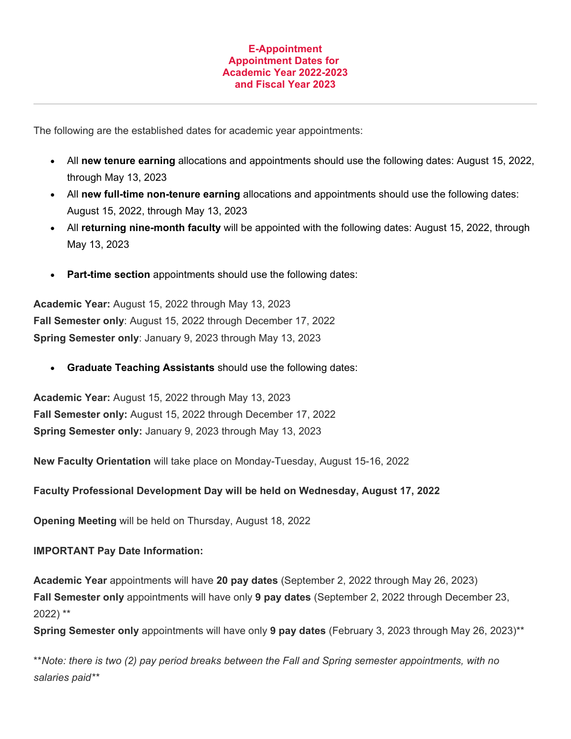## **E-Appointment Appointment Dates for Academic Year 2022-2023 and Fiscal Year 2023**

The following are the established dates for academic year appointments:

- All **new tenure earning** allocations and appointments should use the following dates: August 15, 2022, through May 13, 2023
- All **new full-time non-tenure earning** allocations and appointments should use the following dates: August 15, 2022, through May 13, 2023
- All **returning nine-month faculty** will be appointed with the following dates: August 15, 2022, through May 13, 2023
- **Part-time section** appointments should use the following dates:

**Academic Year:** August 15, 2022 through May 13, 2023 **Fall Semester only**: August 15, 2022 through December 17, 2022 **Spring Semester only**: January 9, 2023 through May 13, 2023

• **Graduate Teaching Assistants** should use the following dates:

**Academic Year:** August 15, 2022 through May 13, 2023 **Fall Semester only:** August 15, 2022 through December 17, 2022 **Spring Semester only:** January 9, 2023 through May 13, 2023

**New Faculty Orientation** will take place on Monday-Tuesday, August 15-16, 2022

**Faculty Professional Development Day will be held on Wednesday, August 17, 2022**

**Opening Meeting** will be held on Thursday, August 18, 2022

## **IMPORTANT Pay Date Information:**

**Academic Year** appointments will have **20 pay dates** (September 2, 2022 through May 26, 2023) **Fall Semester only** appointments will have only **9 pay dates** (September 2, 2022 through December 23, 2022) \*\*

**Spring Semester only** appointments will have only **9 pay dates** (February 3, 2023 through May 26, 2023)\*\*

\*\**Note: there is two (2) pay period breaks between the Fall and Spring semester appointments, with no salaries paid\*\**